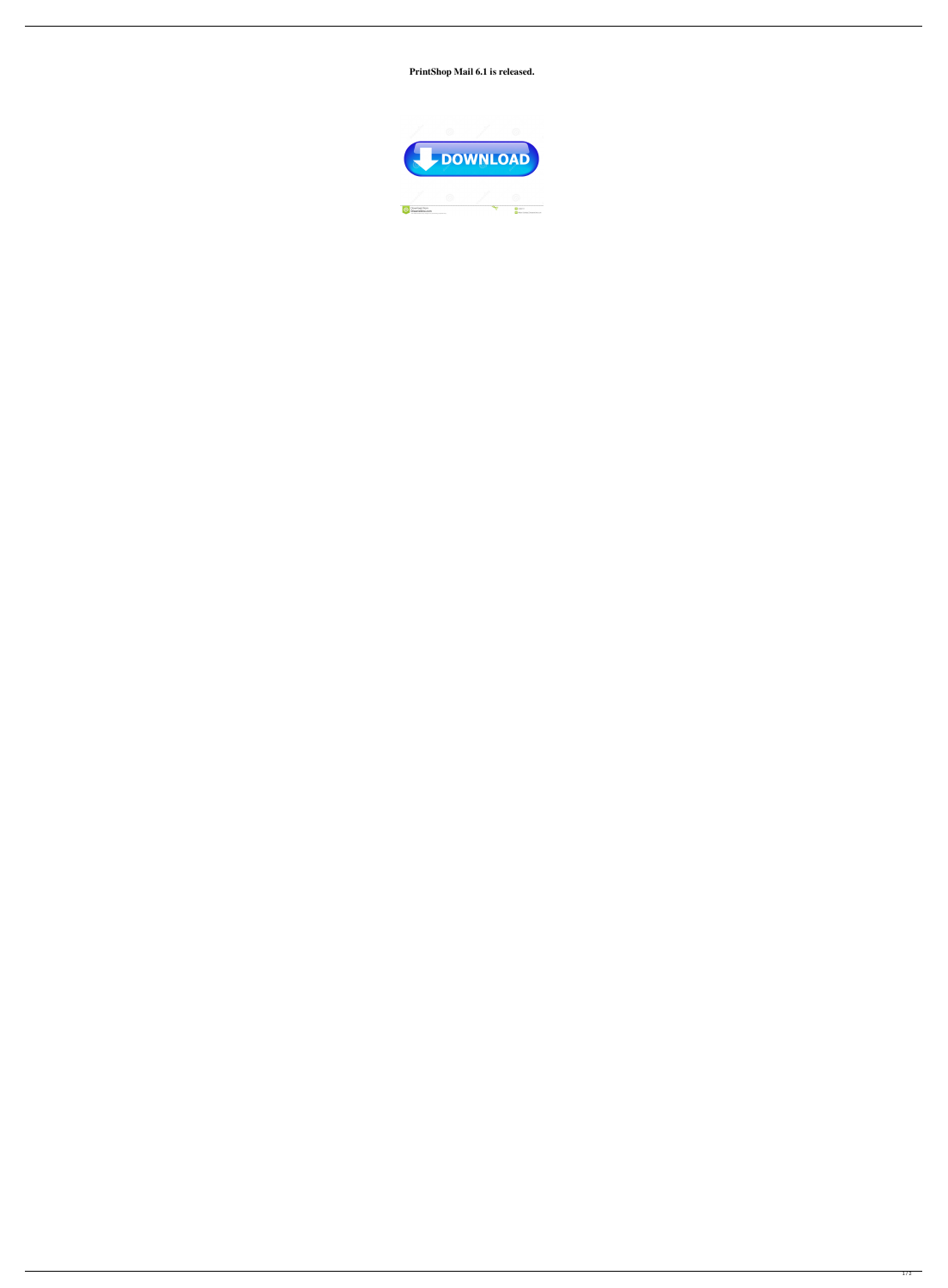**PrintShop Mail 6.1 is released.**